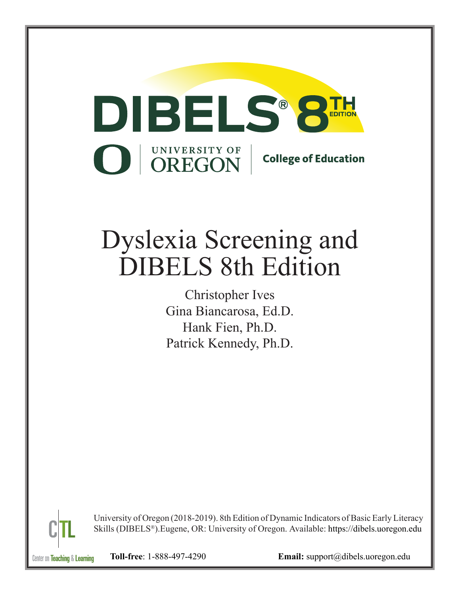

## Dyslexia Screening and DIBELS 8th Edition

Christopher Ives Gina Biancarosa, Ed.D. Hank Fien, Ph.D. Patrick Kennedy, Ph.D.



University of Oregon (2018-2019). 8th Edition of Dynamic Indicators of Basic Early Literacy Skills (DIBELS® ).Eugene, OR: University of Oregon. Available: https://dibels.uoregon.edu

Center on **Teaching** & Learning

**Toll-free**: 1-888-497-4290 **Email:** [support@dibels.uoregon.edu](mailto:support@dibels.uoregon.edu)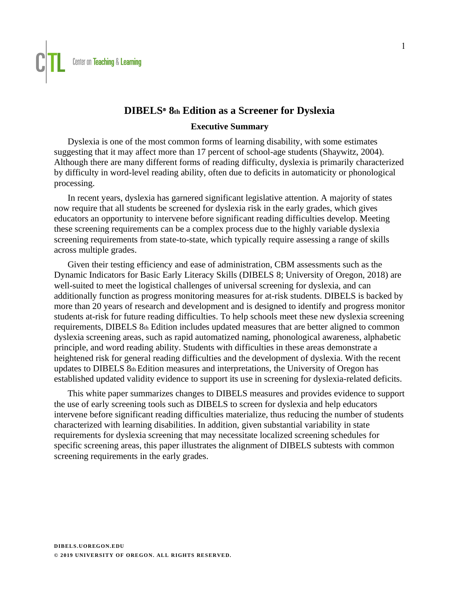### **DIBELS**Ⓡ  **8th Edition as a Screener for Dyslexia**

### **Executive Summary**

Dyslexia is one of the most common forms of learning disability, with some estimates suggesting that it may affect more than 17 percent of school-age students (Shaywitz, 2004). Although there are many different forms of reading difficulty, dyslexia is primarily characterized by difficulty in word-level reading ability, often due to deficits in automaticity or phonological processing.

In recent years, dyslexia has garnered significant legislative attention. A majority of states now require that all students be screened for dyslexia risk in the early grades, which gives educators an opportunity to intervene before significant reading difficulties develop. Meeting these screening requirements can be a complex process due to the highly variable dyslexia screening requirements from state-to-state, which typically require assessing a range of skills across multiple grades.

Given their testing efficiency and ease of administration, CBM assessments such as the Dynamic Indicators for Basic Early Literacy Skills (DIBELS 8; University of Oregon, 2018) are well-suited to meet the logistical challenges of universal screening for dyslexia, and can additionally function as progress monitoring measures for at-risk students. DIBELS is backed by more than 20 years of research and development and is designed to identify and progress monitor students at-risk for future reading difficulties. To help schools meet these new dyslexia screening requirements, DIBELS 8th Edition includes updated measures that are better aligned to common dyslexia screening areas, such as rapid automatized naming, phonological awareness, alphabetic principle, and word reading ability. Students with difficulties in these areas demonstrate a heightened risk for general reading difficulties and the development of dyslexia. With the recent updates to DIBELS 8th Edition measures and interpretations, the University of Oregon has established updated validity evidence to support its use in screening for dyslexia-related deficits.

This white paper summarizes changes to DIBELS measures and provides evidence to support the use of early screening tools such as DIBELS to screen for dyslexia and help educators intervene before significant reading difficulties materialize, thus reducing the number of students characterized with learning disabilities. In addition, given substantial variability in state requirements for dyslexia screening that may necessitate localized screening schedules for specific screening areas, this paper illustrates the alignment of DIBELS subtests with common screening requirements in the early grades.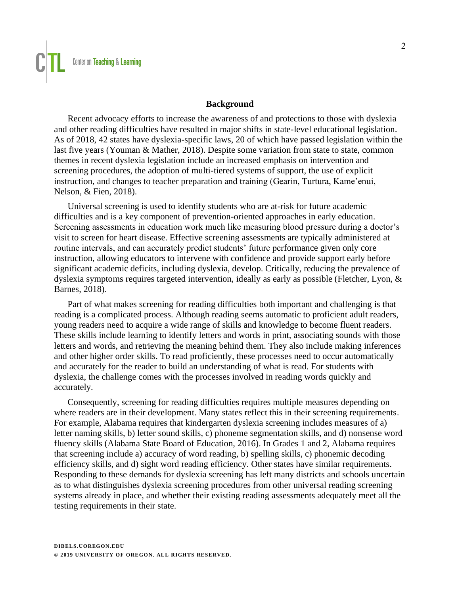### **Background**

Recent advocacy efforts to increase the awareness of and protections to those with dyslexia and other reading difficulties have resulted in major shifts in state-level educational legislation. As of 2018, 42 states have dyslexia-specific laws, 20 of which have passed legislation within the last five years (Youman & Mather, 2018). Despite some variation from state to state, common themes in recent dyslexia legislation include an increased emphasis on intervention and screening procedures, the adoption of multi-tiered systems of support, the use of explicit instruction, and changes to teacher preparation and training (Gearin, Turtura, Kame'enui, Nelson, & Fien, 2018).

Universal screening is used to identify students who are at-risk for future academic difficulties and is a key component of prevention-oriented approaches in early education. Screening assessments in education work much like measuring blood pressure during a doctor's visit to screen for heart disease. Effective screening assessments are typically administered at routine intervals, and can accurately predict students' future performance given only core instruction, allowing educators to intervene with confidence and provide support early before significant academic deficits, including dyslexia, develop. Critically, reducing the prevalence of dyslexia symptoms requires targeted intervention, ideally as early as possible (Fletcher, Lyon, & Barnes, 2018).

Part of what makes screening for reading difficulties both important and challenging is that reading is a complicated process. Although reading seems automatic to proficient adult readers, young readers need to acquire a wide range of skills and knowledge to become fluent readers. These skills include learning to identify letters and words in print, associating sounds with those letters and words, and retrieving the meaning behind them. They also include making inferences and other higher order skills. To read proficiently, these processes need to occur automatically and accurately for the reader to build an understanding of what is read. For students with dyslexia, the challenge comes with the processes involved in reading words quickly and accurately.

Consequently, screening for reading difficulties requires multiple measures depending on where readers are in their development. Many states reflect this in their screening requirements. For example, Alabama requires that kindergarten dyslexia screening includes measures of a) letter naming skills, b) letter sound skills, c) phoneme segmentation skills, and d) nonsense word fluency skills (Alabama State Board of Education, 2016). In Grades 1 and 2, Alabama requires that screening include a) accuracy of word reading, b) spelling skills, c) phonemic decoding efficiency skills, and d) sight word reading efficiency. Other states have similar requirements. Responding to these demands for dyslexia screening has left many districts and schools uncertain as to what distinguishes dyslexia screening procedures from other universal reading screening systems already in place, and whether their existing reading assessments adequately meet all the testing requirements in their state.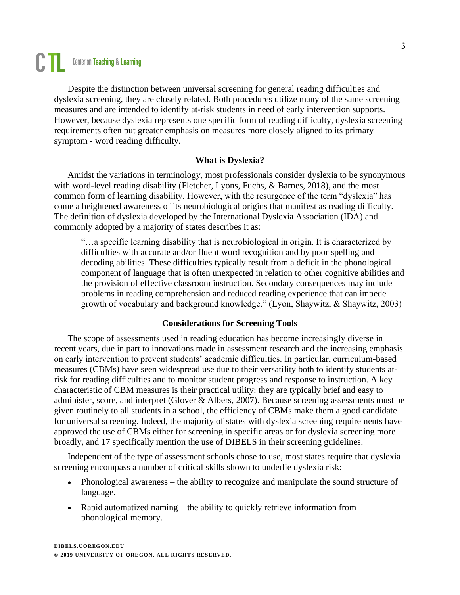

Despite the distinction between universal screening for general reading difficulties and dyslexia screening, they are closely related. Both procedures utilize many of the same screening measures and are intended to identify at-risk students in need of early intervention supports. However, because dyslexia represents one specific form of reading difficulty, dyslexia screening requirements often put greater emphasis on measures more closely aligned to its primary symptom - word reading difficulty.

### **What is Dyslexia?**

Amidst the variations in terminology, most professionals consider dyslexia to be synonymous with word-level reading disability (Fletcher, Lyons, Fuchs, & Barnes, 2018), and the most common form of learning disability. However, with the resurgence of the term "dyslexia" has come a heightened awareness of its neurobiological origins that manifest as reading difficulty. The definition of dyslexia developed by the International Dyslexia Association (IDA) and commonly adopted by a majority of states describes it as:

"…a specific learning disability that is neurobiological in origin. It is characterized by difficulties with accurate and/or fluent word recognition and by poor spelling and decoding abilities. These difficulties typically result from a deficit in the phonological component of language that is often unexpected in relation to other cognitive abilities and the provision of effective classroom instruction. Secondary consequences may include problems in reading comprehension and reduced reading experience that can impede growth of vocabulary and background knowledge." (Lyon, Shaywitz, & Shaywitz, 2003)

### **Considerations for Screening Tools**

The scope of assessments used in reading education has become increasingly diverse in recent years, due in part to innovations made in assessment research and the increasing emphasis on early intervention to prevent students' academic difficulties. In particular, curriculum-based measures (CBMs) have seen widespread use due to their versatility both to identify students atrisk for reading difficulties and to monitor student progress and response to instruction. A key characteristic of CBM measures is their practical utility: they are typically brief and easy to administer, score, and interpret (Glover & Albers, 2007). Because screening assessments must be given routinely to all students in a school, the efficiency of CBMs make them a good candidate for universal screening. Indeed, the majority of states with dyslexia screening requirements have approved the use of CBMs either for screening in specific areas or for dyslexia screening more broadly, and 17 specifically mention the use of DIBELS in their screening guidelines.

Independent of the type of assessment schools chose to use, most states require that dyslexia screening encompass a number of critical skills shown to underlie dyslexia risk:

- Phonological awareness the ability to recognize and manipulate the sound structure of language.
- Rapid automatized naming the ability to quickly retrieve information from phonological memory.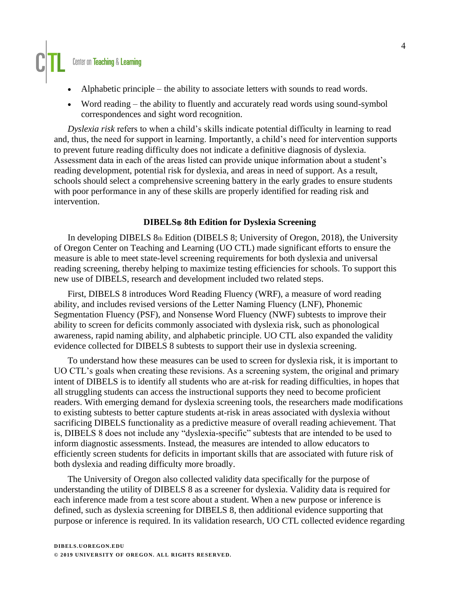# Center on Teaching & Learning

- Alphabetic principle the ability to associate letters with sounds to read words.
- Word reading the ability to fluently and accurately read words using sound-symbol correspondences and sight word recognition.

*Dyslexia risk* refers to when a child's skills indicate potential difficulty in learning to read and, thus, the need for support in learning. Importantly, a child's need for intervention supports to prevent future reading difficulty does not indicate a definitive diagnosis of dyslexia. Assessment data in each of the areas listed can provide unique information about a student's reading development, potential risk for dyslexia, and areas in need of support. As a result, schools should select a comprehensive screening battery in the early grades to ensure students with poor performance in any of these skills are properly identified for reading risk and intervention.

### **DIBELS**Ⓡ **8th Edition for Dyslexia Screening**

In developing DIBELS 8th Edition (DIBELS 8; University of Oregon, 2018), the University of Oregon Center on Teaching and Learning (UO CTL) made significant efforts to ensure the measure is able to meet state-level screening requirements for both dyslexia and universal reading screening, thereby helping to maximize testing efficiencies for schools. To support this new use of DIBELS, research and development included two related steps.

First, DIBELS 8 introduces Word Reading Fluency (WRF), a measure of word reading ability, and includes revised versions of the Letter Naming Fluency (LNF), Phonemic Segmentation Fluency (PSF), and Nonsense Word Fluency (NWF) subtests to improve their ability to screen for deficits commonly associated with dyslexia risk, such as phonological awareness, rapid naming ability, and alphabetic principle. UO CTL also expanded the validity evidence collected for DIBELS 8 subtests to support their use in dyslexia screening.

To understand how these measures can be used to screen for dyslexia risk, it is important to UO CTL's goals when creating these revisions. As a screening system, the original and primary intent of DIBELS is to identify all students who are at-risk for reading difficulties, in hopes that all struggling students can access the instructional supports they need to become proficient readers. With emerging demand for dyslexia screening tools, the researchers made modifications to existing subtests to better capture students at-risk in areas associated with dyslexia without sacrificing DIBELS functionality as a predictive measure of overall reading achievement. That is, DIBELS 8 does not include any "dyslexia-specific" subtests that are intended to be used to inform diagnostic assessments. Instead, the measures are intended to allow educators to efficiently screen students for deficits in important skills that are associated with future risk of both dyslexia and reading difficulty more broadly.

The University of Oregon also collected validity data specifically for the purpose of understanding the utility of DIBELS 8 as a screener for dyslexia. Validity data is required for each inference made from a test score about a student. When a new purpose or inference is defined, such as dyslexia screening for DIBELS 8, then additional evidence supporting that purpose or inference is required. In its validation research, UO CTL collected evidence regarding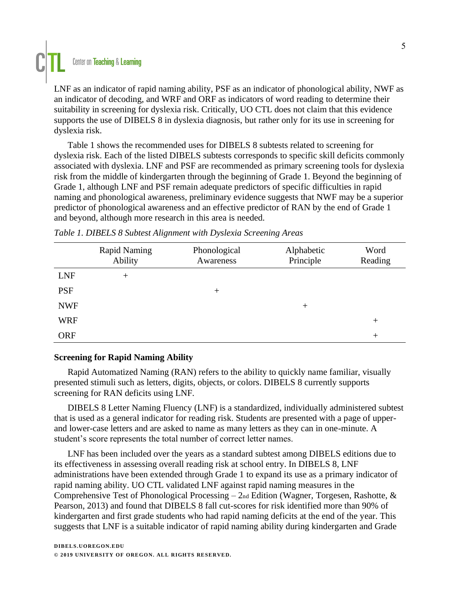

LNF as an indicator of rapid naming ability, PSF as an indicator of phonological ability, NWF as an indicator of decoding, and WRF and ORF as indicators of word reading to determine their suitability in screening for dyslexia risk. Critically, UO CTL does not claim that this evidence supports the use of DIBELS 8 in dyslexia diagnosis, but rather only for its use in screening for dyslexia risk.

Table 1 shows the recommended uses for DIBELS 8 subtests related to screening for dyslexia risk. Each of the listed DIBELS subtests corresponds to specific skill deficits commonly associated with dyslexia. LNF and PSF are recommended as primary screening tools for dyslexia risk from the middle of kindergarten through the beginning of Grade 1. Beyond the beginning of Grade 1, although LNF and PSF remain adequate predictors of specific difficulties in rapid naming and phonological awareness, preliminary evidence suggests that NWF may be a superior predictor of phonological awareness and an effective predictor of RAN by the end of Grade 1 and beyond, although more research in this area is needed.

|            | <b>Rapid Naming</b><br>Ability | Phonological<br>Awareness | Alphabetic<br>Principle | Word<br>Reading |
|------------|--------------------------------|---------------------------|-------------------------|-----------------|
| <b>LNF</b> | $^{+}$                         |                           |                         |                 |
| <b>PSF</b> |                                | $^{+}$                    |                         |                 |
| <b>NWF</b> |                                |                           | $^+$                    |                 |
| <b>WRF</b> |                                |                           |                         | $^+$            |
| <b>ORF</b> |                                |                           |                         | $^{+}$          |

| Table 1. DIBELS 8 Subtest Alignment with Dyslexia Screening Areas |  |  |  |
|-------------------------------------------------------------------|--|--|--|
|                                                                   |  |  |  |

### **Screening for Rapid Naming Ability**

Rapid Automatized Naming (RAN) refers to the ability to quickly name familiar, visually presented stimuli such as letters, digits, objects, or colors. DIBELS 8 currently supports screening for RAN deficits using LNF.

DIBELS 8 Letter Naming Fluency (LNF) is a standardized, individually administered subtest that is used as a general indicator for reading risk. Students are presented with a page of upperand lower-case letters and are asked to name as many letters as they can in one-minute. A student's score represents the total number of correct letter names.

LNF has been included over the years as a standard subtest among DIBELS editions due to its effectiveness in assessing overall reading risk at school entry. In DIBELS 8, LNF administrations have been extended through Grade 1 to expand its use as a primary indicator of rapid naming ability. UO CTL validated LNF against rapid naming measures in the Comprehensive Test of Phonological Processing – 2nd Edition (Wagner, Torgesen, Rashotte, & Pearson, 2013) and found that DIBELS 8 fall cut-scores for risk identified more than 90% of kindergarten and first grade students who had rapid naming deficits at the end of the year. This suggests that LNF is a suitable indicator of rapid naming ability during kindergarten and Grade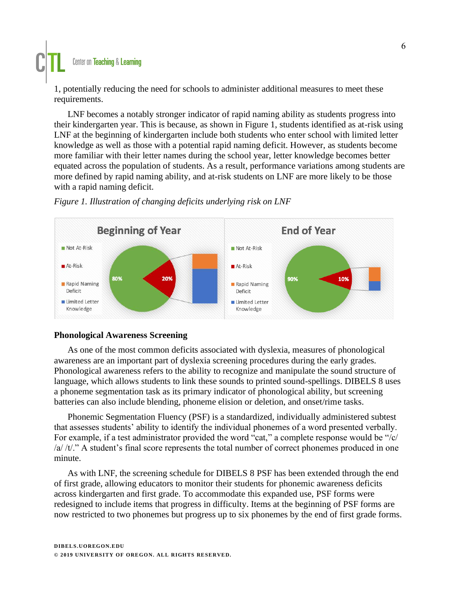### Center on Teaching & Learning

1, potentially reducing the need for schools to administer additional measures to meet these requirements.

LNF becomes a notably stronger indicator of rapid naming ability as students progress into their kindergarten year. This is because, as shown in Figure 1, students identified as at-risk using LNF at the beginning of kindergarten include both students who enter school with limited letter knowledge as well as those with a potential rapid naming deficit. However, as students become more familiar with their letter names during the school year, letter knowledge becomes better equated across the population of students. As a result, performance variations among students are more defined by rapid naming ability, and at-risk students on LNF are more likely to be those with a rapid naming deficit.



### *Figure 1. Illustration of changing deficits underlying risk on LNF*

### **Phonological Awareness Screening**

As one of the most common deficits associated with dyslexia, measures of phonological awareness are an important part of dyslexia screening procedures during the early grades. Phonological awareness refers to the ability to recognize and manipulate the sound structure of language, which allows students to link these sounds to printed sound-spellings. DIBELS 8 uses a phoneme segmentation task as its primary indicator of phonological ability, but screening batteries can also include blending, phoneme elision or deletion, and onset/rime tasks.

Phonemic Segmentation Fluency (PSF) is a standardized, individually administered subtest that assesses students' ability to identify the individual phonemes of a word presented verbally. For example, if a test administrator provided the word "cat," a complete response would be "/c/ /a/ /t/." A student's final score represents the total number of correct phonemes produced in one minute.

As with LNF, the screening schedule for DIBELS 8 PSF has been extended through the end of first grade, allowing educators to monitor their students for phonemic awareness deficits across kindergarten and first grade. To accommodate this expanded use, PSF forms were redesigned to include items that progress in difficulty. Items at the beginning of PSF forms are now restricted to two phonemes but progress up to six phonemes by the end of first grade forms.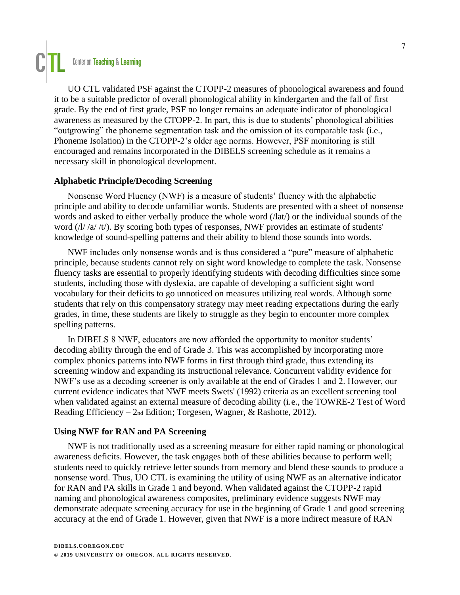

UO CTL validated PSF against the CTOPP-2 measures of phonological awareness and found it to be a suitable predictor of overall phonological ability in kindergarten and the fall of first grade. By the end of first grade, PSF no longer remains an adequate indicator of phonological awareness as measured by the CTOPP-2. In part, this is due to students' phonological abilities "outgrowing" the phoneme segmentation task and the omission of its comparable task (i.e., Phoneme Isolation) in the CTOPP-2's older age norms. However, PSF monitoring is still encouraged and remains incorporated in the DIBELS screening schedule as it remains a necessary skill in phonological development.

### **Alphabetic Principle/Decoding Screening**

Nonsense Word Fluency (NWF) is a measure of students' fluency with the alphabetic principle and ability to decode unfamiliar words. Students are presented with a sheet of nonsense words and asked to either verbally produce the whole word (/lat/) or the individual sounds of the word ( $\frac{1}{4}$  /t/). By scoring both types of responses, NWF provides an estimate of students' knowledge of sound-spelling patterns and their ability to blend those sounds into words.

NWF includes only nonsense words and is thus considered a "pure" measure of alphabetic principle, because students cannot rely on sight word knowledge to complete the task. Nonsense fluency tasks are essential to properly identifying students with decoding difficulties since some students, including those with dyslexia, are capable of developing a sufficient sight word vocabulary for their deficits to go unnoticed on measures utilizing real words. Although some students that rely on this compensatory strategy may meet reading expectations during the early grades, in time, these students are likely to struggle as they begin to encounter more complex spelling patterns.

In DIBELS 8 NWF, educators are now afforded the opportunity to monitor students' decoding ability through the end of Grade 3. This was accomplished by incorporating more complex phonics patterns into NWF forms in first through third grade, thus extending its screening window and expanding its instructional relevance. Concurrent validity evidence for NWF's use as a decoding screener is only available at the end of Grades 1 and 2. However, our current evidence indicates that NWF meets Swets' (1992) criteria as an excellent screening tool when validated against an external measure of decoding ability (i.e., the TOWRE-2 Test of Word Reading Efficiency – 2nd Edition; Torgesen, Wagner, & Rashotte, 2012).

### **Using NWF for RAN and PA Screening**

NWF is not traditionally used as a screening measure for either rapid naming or phonological awareness deficits. However, the task engages both of these abilities because to perform well; students need to quickly retrieve letter sounds from memory and blend these sounds to produce a nonsense word. Thus, UO CTL is examining the utility of using NWF as an alternative indicator for RAN and PA skills in Grade 1 and beyond. When validated against the CTOPP-2 rapid naming and phonological awareness composites, preliminary evidence suggests NWF may demonstrate adequate screening accuracy for use in the beginning of Grade 1 and good screening accuracy at the end of Grade 1. However, given that NWF is a more indirect measure of RAN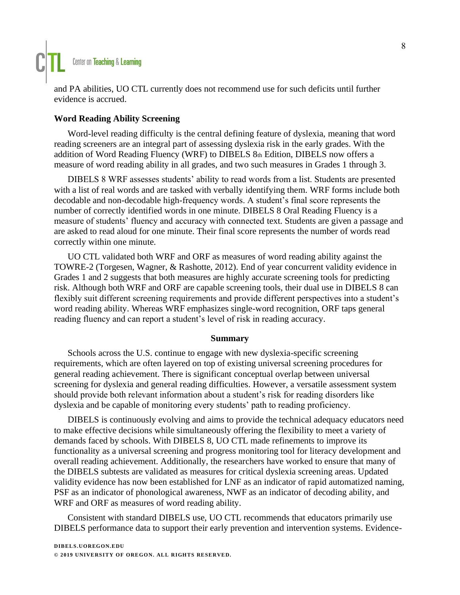

and PA abilities, UO CTL currently does not recommend use for such deficits until further evidence is accrued.

### **Word Reading Ability Screening**

Word-level reading difficulty is the central defining feature of dyslexia, meaning that word reading screeners are an integral part of assessing dyslexia risk in the early grades. With the addition of Word Reading Fluency (WRF) to DIBELS 8th Edition, DIBELS now offers a measure of word reading ability in all grades, and two such measures in Grades 1 through 3.

DIBELS 8 WRF assesses students' ability to read words from a list. Students are presented with a list of real words and are tasked with verbally identifying them. WRF forms include both decodable and non-decodable high-frequency words. A student's final score represents the number of correctly identified words in one minute. DIBELS 8 Oral Reading Fluency is a measure of students' fluency and accuracy with connected text. Students are given a passage and are asked to read aloud for one minute. Their final score represents the number of words read correctly within one minute.

UO CTL validated both WRF and ORF as measures of word reading ability against the TOWRE-2 (Torgesen, Wagner, & Rashotte, 2012). End of year concurrent validity evidence in Grades 1 and 2 suggests that both measures are highly accurate screening tools for predicting risk. Although both WRF and ORF are capable screening tools, their dual use in DIBELS 8 can flexibly suit different screening requirements and provide different perspectives into a student's word reading ability. Whereas WRF emphasizes single-word recognition, ORF taps general reading fluency and can report a student's level of risk in reading accuracy.

### **Summary**

Schools across the U.S. continue to engage with new dyslexia-specific screening requirements, which are often layered on top of existing universal screening procedures for general reading achievement. There is significant conceptual overlap between universal screening for dyslexia and general reading difficulties. However, a versatile assessment system should provide both relevant information about a student's risk for reading disorders like dyslexia and be capable of monitoring every students' path to reading proficiency.

DIBELS is continuously evolving and aims to provide the technical adequacy educators need to make effective decisions while simultaneously offering the flexibility to meet a variety of demands faced by schools. With DIBELS 8, UO CTL made refinements to improve its functionality as a universal screening and progress monitoring tool for literacy development and overall reading achievement. Additionally, the researchers have worked to ensure that many of the DIBELS subtests are validated as measures for critical dyslexia screening areas. Updated validity evidence has now been established for LNF as an indicator of rapid automatized naming, PSF as an indicator of phonological awareness, NWF as an indicator of decoding ability, and WRF and ORF as measures of word reading ability.

Consistent with standard DIBELS use, UO CTL recommends that educators primarily use DIBELS performance data to support their early prevention and intervention systems. Evidence-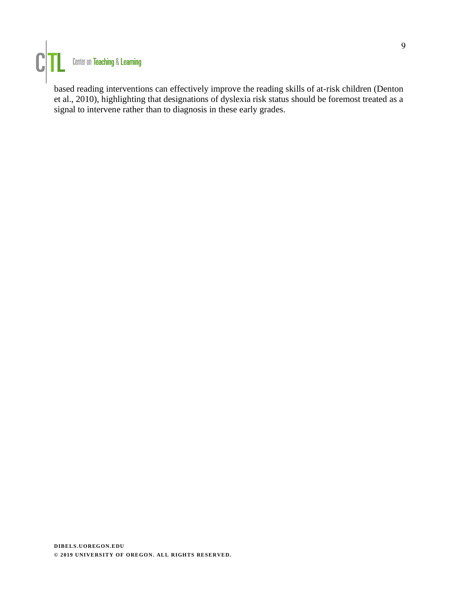

based reading interventions can effectively improve the reading skills of at-risk children (Denton et al., 2010), highlighting that designations of dyslexia risk status should be foremost treated as a signal to intervene rather than to diagnosis in these early grades.